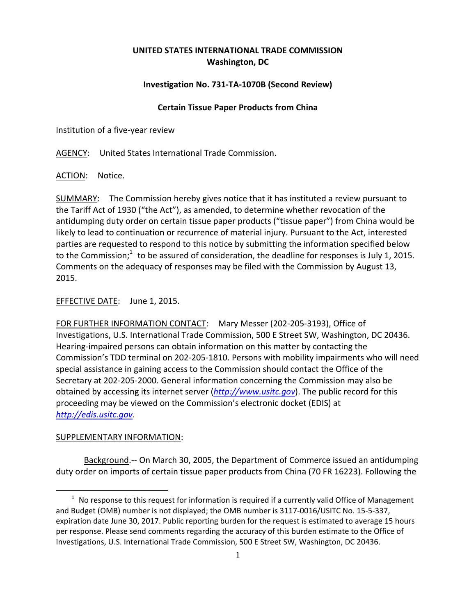# **UNITED STATES INTERNATIONAL TRADE COMMISSION Washington, DC**

## **Investigation No. 731‐TA‐1070B (Second Review)**

#### **Certain Tissue Paper Products from China**

Institution of a five‐year review

AGENCY: United States International Trade Commission.

ACTION: Notice.

SUMMARY: The Commission hereby gives notice that it has instituted a review pursuant to the Tariff Act of 1930 ("the Act"), as amended, to determine whether revocation of the antidumping duty order on certain tissue paper products ("tissue paper") from China would be likely to lead to continuation or recurrence of material injury. Pursuant to the Act, interested parties are requested to respond to this notice by submitting the information specified below to the Commission;<sup>1</sup> to be assured of consideration, the deadline for responses is July 1, 2015. Comments on the adequacy of responses may be filed with the Commission by August 13, 2015.

### EFFECTIVE DATE: June 1, 2015.

FOR FURTHER INFORMATION CONTACT: Mary Messer (202‐205‐3193), Office of Investigations, U.S. International Trade Commission, 500 E Street SW, Washington, DC 20436. Hearing‐impaired persons can obtain information on this matter by contacting the Commission's TDD terminal on 202‐205‐1810. Persons with mobility impairments who will need special assistance in gaining access to the Commission should contact the Office of the Secretary at 202‐205‐2000. General information concerning the Commission may also be obtained by accessing its internet server (*http://www.usitc.gov*). The public record for this proceeding may be viewed on the Commission's electronic docket (EDIS) at *http://edis.usitc.gov*.

#### SUPPLEMENTARY INFORMATION:

 $\overline{a}$ 

Background.-- On March 30, 2005, the Department of Commerce issued an antidumping duty order on imports of certain tissue paper products from China (70 FR 16223). Following the

 $1$  No response to this request for information is required if a currently valid Office of Management and Budget (OMB) number is not displayed; the OMB number is 3117‐0016/USITC No. 15‐5‐337, expiration date June 30, 2017. Public reporting burden for the request is estimated to average 15 hours per response. Please send comments regarding the accuracy of this burden estimate to the Office of Investigations, U.S. International Trade Commission, 500 E Street SW, Washington, DC 20436.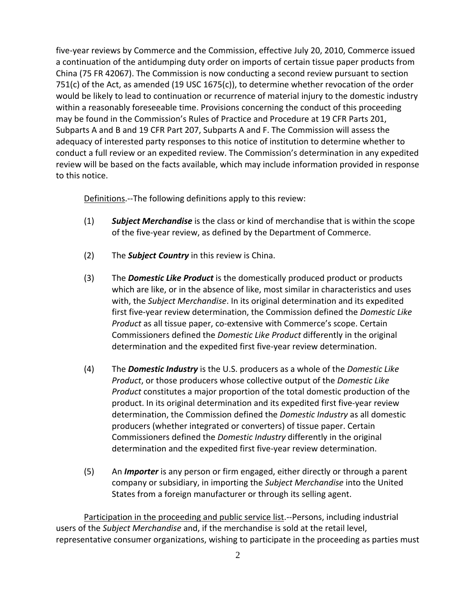five-year reviews by Commerce and the Commission, effective July 20, 2010, Commerce issued a continuation of the antidumping duty order on imports of certain tissue paper products from China (75 FR 42067). The Commission is now conducting a second review pursuant to section 751(c) of the Act, as amended (19 USC 1675(c)), to determine whether revocation of the order would be likely to lead to continuation or recurrence of material injury to the domestic industry within a reasonably foreseeable time. Provisions concerning the conduct of this proceeding may be found in the Commission's Rules of Practice and Procedure at 19 CFR Parts 201, Subparts A and B and 19 CFR Part 207, Subparts A and F. The Commission will assess the adequacy of interested party responses to this notice of institution to determine whether to conduct a full review or an expedited review. The Commission's determination in any expedited review will be based on the facts available, which may include information provided in response to this notice.

Definitions.—The following definitions apply to this review:

- (1) *Subject Merchandise* is the class or kind of merchandise that is within the scope of the five‐year review, as defined by the Department of Commerce.
- (2) The *Subject Country* in this review is China.
- (3) The *Domestic Like Product* is the domestically produced product or products which are like, or in the absence of like, most similar in characteristics and uses with, the *Subject Merchandise*. In its original determination and its expedited first five‐year review determination, the Commission defined the *Domestic Like Product* as all tissue paper, co‐extensive with Commerce's scope. Certain Commissioners defined the *Domestic Like Product* differently in the original determination and the expedited first five‐year review determination.
- (4) The *Domestic Industry* is the U.S. producers as a whole of the *Domestic Like Product*, or those producers whose collective output of the *Domestic Like Product* constitutes a major proportion of the total domestic production of the product. In its original determination and its expedited first five‐year review determination, the Commission defined the *Domestic Industry* as all domestic producers (whether integrated or converters) of tissue paper. Certain Commissioners defined the *Domestic Industry* differently in the original determination and the expedited first five‐year review determination.
- (5) An *Importer* is any person or firm engaged, either directly or through a parent company or subsidiary, in importing the *Subject Merchandise* into the United States from a foreign manufacturer or through its selling agent.

Participation in the proceeding and public service list.‐‐Persons, including industrial users of the *Subject Merchandise* and, if the merchandise is sold at the retail level, representative consumer organizations, wishing to participate in the proceeding as parties must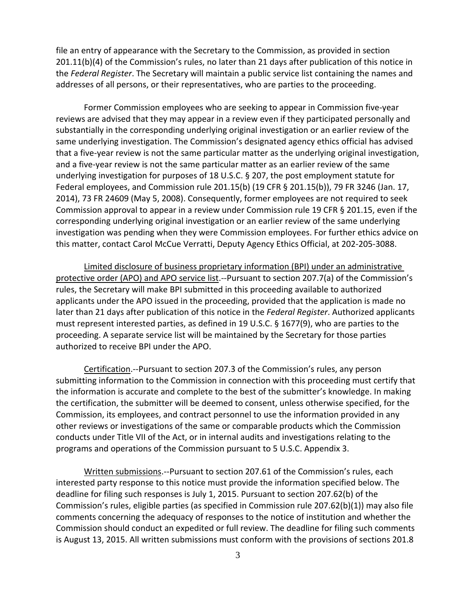file an entry of appearance with the Secretary to the Commission, as provided in section 201.11(b)(4) of the Commission's rules, no later than 21 days after publication of this notice in the *Federal Register*. The Secretary will maintain a public service list containing the names and addresses of all persons, or their representatives, who are parties to the proceeding.

Former Commission employees who are seeking to appear in Commission five‐year reviews are advised that they may appear in a review even if they participated personally and substantially in the corresponding underlying original investigation or an earlier review of the same underlying investigation. The Commission's designated agency ethics official has advised that a five‐year review is not the same particular matter as the underlying original investigation, and a five‐year review is not the same particular matter as an earlier review of the same underlying investigation for purposes of 18 U.S.C. § 207, the post employment statute for Federal employees, and Commission rule 201.15(b) (19 CFR § 201.15(b)), 79 FR 3246 (Jan. 17, 2014), 73 FR 24609 (May 5, 2008). Consequently, former employees are not required to seek Commission approval to appear in a review under Commission rule 19 CFR § 201.15, even if the corresponding underlying original investigation or an earlier review of the same underlying investigation was pending when they were Commission employees. For further ethics advice on this matter, contact Carol McCue Verratti, Deputy Agency Ethics Official, at 202‐205‐3088.

Limited disclosure of business proprietary information (BPI) under an administrative protective order (APO) and APO service list.‐‐Pursuant to section 207.7(a) of the Commission's rules, the Secretary will make BPI submitted in this proceeding available to authorized applicants under the APO issued in the proceeding, provided that the application is made no later than 21 days after publication of this notice in the *Federal Register*. Authorized applicants must represent interested parties, as defined in 19 U.S.C. § 1677(9), who are parties to the proceeding. A separate service list will be maintained by the Secretary for those parties authorized to receive BPI under the APO.

Certification.‐‐Pursuant to section 207.3 of the Commission's rules, any person submitting information to the Commission in connection with this proceeding must certify that the information is accurate and complete to the best of the submitter's knowledge. In making the certification, the submitter will be deemed to consent, unless otherwise specified, for the Commission, its employees, and contract personnel to use the information provided in any other reviews or investigations of the same or comparable products which the Commission conducts under Title VII of the Act, or in internal audits and investigations relating to the programs and operations of the Commission pursuant to 5 U.S.C. Appendix 3.

Written submissions.‐‐Pursuant to section 207.61 of the Commission's rules, each interested party response to this notice must provide the information specified below. The deadline for filing such responses is July 1, 2015. Pursuant to section 207.62(b) of the Commission's rules, eligible parties (as specified in Commission rule 207.62(b)(1)) may also file comments concerning the adequacy of responses to the notice of institution and whether the Commission should conduct an expedited or full review. The deadline for filing such comments is August 13, 2015. All written submissions must conform with the provisions of sections 201.8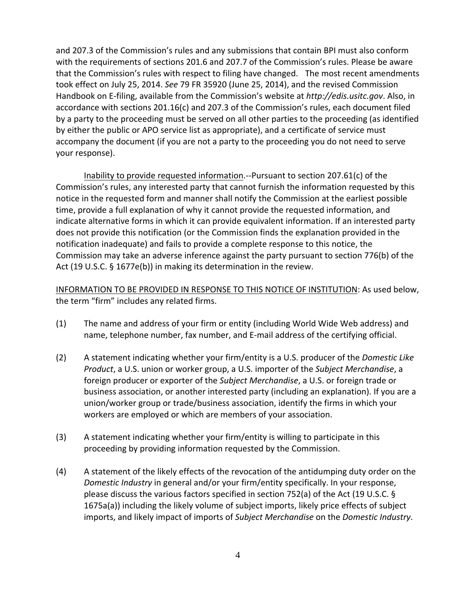and 207.3 of the Commission's rules and any submissions that contain BPI must also conform with the requirements of sections 201.6 and 207.7 of the Commission's rules. Please be aware that the Commission's rules with respect to filing have changed. The most recent amendments took effect on July 25, 2014. *See* 79 FR 35920 (June 25, 2014), and the revised Commission Handbook on E‐filing, available from the Commission's website at *http://edis.usitc.gov*. Also, in accordance with sections 201.16(c) and 207.3 of the Commission's rules, each document filed by a party to the proceeding must be served on all other parties to the proceeding (as identified by either the public or APO service list as appropriate), and a certificate of service must accompany the document (if you are not a party to the proceeding you do not need to serve your response).

Inability to provide requested information.‐‐Pursuant to section 207.61(c) of the Commission's rules, any interested party that cannot furnish the information requested by this notice in the requested form and manner shall notify the Commission at the earliest possible time, provide a full explanation of why it cannot provide the requested information, and indicate alternative forms in which it can provide equivalent information. If an interested party does not provide this notification (or the Commission finds the explanation provided in the notification inadequate) and fails to provide a complete response to this notice, the Commission may take an adverse inference against the party pursuant to section 776(b) of the Act (19 U.S.C. § 1677e(b)) in making its determination in the review.

INFORMATION TO BE PROVIDED IN RESPONSE TO THIS NOTICE OF INSTITUTION: As used below, the term "firm" includes any related firms.

- (1) The name and address of your firm or entity (including World Wide Web address) and name, telephone number, fax number, and E‐mail address of the certifying official.
- (2) A statement indicating whether your firm/entity is a U.S. producer of the *Domestic Like Product*, a U.S. union or worker group, a U.S. importer of the *Subject Merchandise*, a foreign producer or exporter of the *Subject Merchandise*, a U.S. or foreign trade or business association, or another interested party (including an explanation). If you are a union/worker group or trade/business association, identify the firms in which your workers are employed or which are members of your association.
- (3) A statement indicating whether your firm/entity is willing to participate in this proceeding by providing information requested by the Commission.
- (4) A statement of the likely effects of the revocation of the antidumping duty order on the *Domestic Industry* in general and/or your firm/entity specifically. In your response, please discuss the various factors specified in section 752(a) of the Act (19 U.S.C. § 1675a(a)) including the likely volume of subject imports, likely price effects of subject imports, and likely impact of imports of *Subject Merchandise* on the *Domestic Industry*.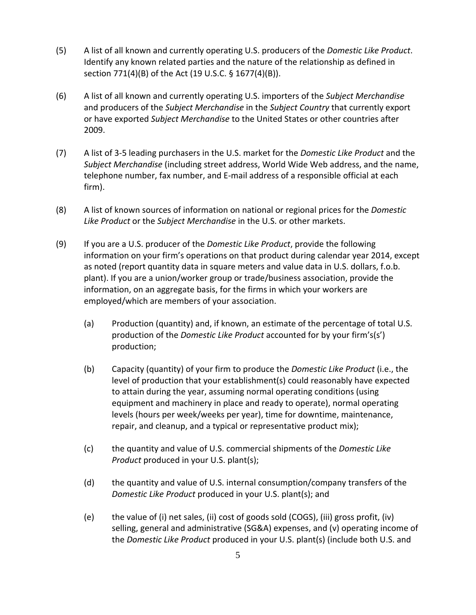- (5) A list of all known and currently operating U.S. producers of the *Domestic Like Product*. Identify any known related parties and the nature of the relationship as defined in section 771(4)(B) of the Act (19 U.S.C. § 1677(4)(B)).
- (6) A list of all known and currently operating U.S. importers of the *Subject Merchandise* and producers of the *Subject Merchandise* in the *Subject Country* that currently export or have exported *Subject Merchandise* to the United States or other countries after 2009.
- (7) A list of 3‐5 leading purchasers in the U.S. market for the *Domestic Like Product* and the *Subject Merchandise* (including street address, World Wide Web address, and the name, telephone number, fax number, and E‐mail address of a responsible official at each firm).
- (8) A list of known sources of information on national or regional prices for the *Domestic Like Product* or the *Subject Merchandise* in the U.S. or other markets.
- (9) If you are a U.S. producer of the *Domestic Like Product*, provide the following information on your firm's operations on that product during calendar year 2014, except as noted (report quantity data in square meters and value data in U.S. dollars, f.o.b. plant). If you are a union/worker group or trade/business association, provide the information, on an aggregate basis, for the firms in which your workers are employed/which are members of your association.
	- (a) Production (quantity) and, if known, an estimate of the percentage of total U.S. production of the *Domestic Like Product* accounted for by your firm's(s') production;
	- (b) Capacity (quantity) of your firm to produce the *Domestic Like Product* (i.e., the level of production that your establishment(s) could reasonably have expected to attain during the year, assuming normal operating conditions (using equipment and machinery in place and ready to operate), normal operating levels (hours per week/weeks per year), time for downtime, maintenance, repair, and cleanup, and a typical or representative product mix);
	- (c) the quantity and value of U.S. commercial shipments of the *Domestic Like Product* produced in your U.S. plant(s);
	- (d) the quantity and value of U.S. internal consumption/company transfers of the *Domestic Like Product* produced in your U.S. plant(s); and
	- (e) the value of (i) net sales, (ii) cost of goods sold (COGS), (iii) gross profit, (iv) selling, general and administrative (SG&A) expenses, and (v) operating income of the *Domestic Like Product* produced in your U.S. plant(s) (include both U.S. and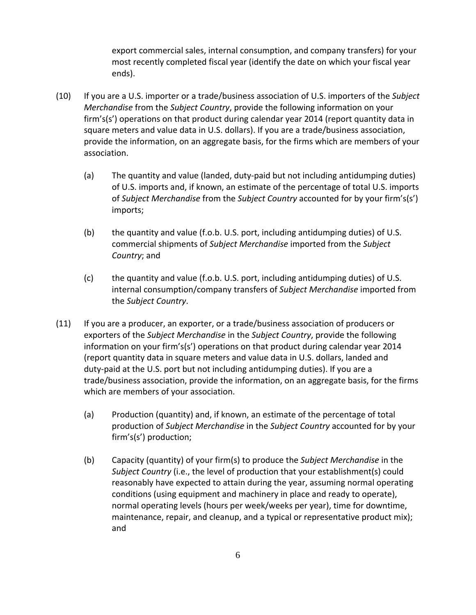export commercial sales, internal consumption, and company transfers) for your most recently completed fiscal year (identify the date on which your fiscal year ends).

- (10) If you are a U.S. importer or a trade/business association of U.S. importers of the *Subject Merchandise* from the *Subject Country*, provide the following information on your firm's(s') operations on that product during calendar year 2014 (report quantity data in square meters and value data in U.S. dollars). If you are a trade/business association, provide the information, on an aggregate basis, for the firms which are members of your association.
	- (a) The quantity and value (landed, duty‐paid but not including antidumping duties) of U.S. imports and, if known, an estimate of the percentage of total U.S. imports of *Subject Merchandise* from the *Subject Country* accounted for by your firm's(s') imports;
	- (b) the quantity and value (f.o.b. U.S. port, including antidumping duties) of U.S. commercial shipments of *Subject Merchandise* imported from the *Subject Country*; and
	- (c) the quantity and value (f.o.b. U.S. port, including antidumping duties) of U.S. internal consumption/company transfers of *Subject Merchandise* imported from the *Subject Country*.
- (11) If you are a producer, an exporter, or a trade/business association of producers or exporters of the *Subject Merchandise* in the *Subject Country*, provide the following information on your firm's(s') operations on that product during calendar year 2014 (report quantity data in square meters and value data in U.S. dollars, landed and duty‐paid at the U.S. port but not including antidumping duties). If you are a trade/business association, provide the information, on an aggregate basis, for the firms which are members of your association.
	- (a) Production (quantity) and, if known, an estimate of the percentage of total production of *Subject Merchandise* in the *Subject Country* accounted for by your firm's(s') production;
	- (b) Capacity (quantity) of your firm(s) to produce the *Subject Merchandise* in the *Subject Country* (i.e., the level of production that your establishment(s) could reasonably have expected to attain during the year, assuming normal operating conditions (using equipment and machinery in place and ready to operate), normal operating levels (hours per week/weeks per year), time for downtime, maintenance, repair, and cleanup, and a typical or representative product mix); and